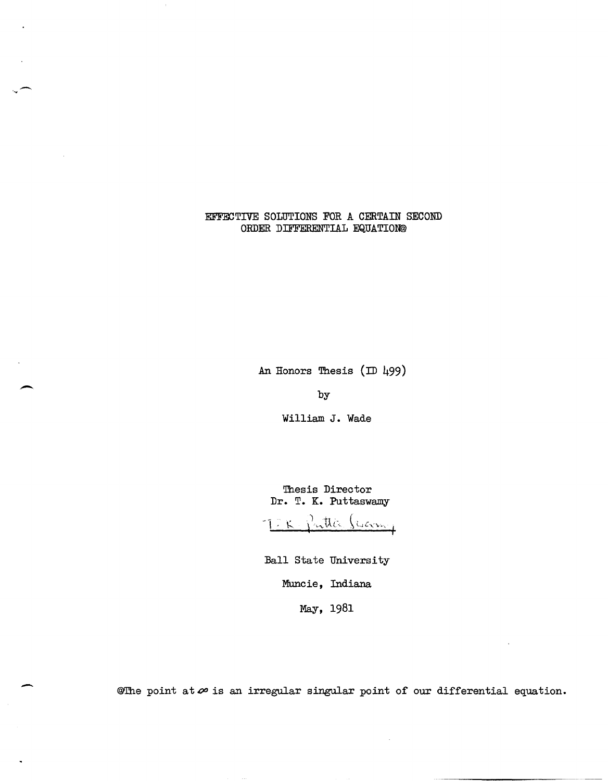EFFECTIVE SOLUTIONS FOR A CERTAIN SECOND ORDER DIFFERENTIAL EQUATION®

An Honors Thesis (ID 499)

by

 $\overline{\phantom{0}}$ 

 $\overline{\phantom{0}}$ 

William J. Wade

Thesis Director Dr. T. K. Puttaswamy

 $K$  ) intha Sydney

Ball State University

Muncie, Indiana

May, 1981

@The point at *00* is an irregular singular point of our differential equation.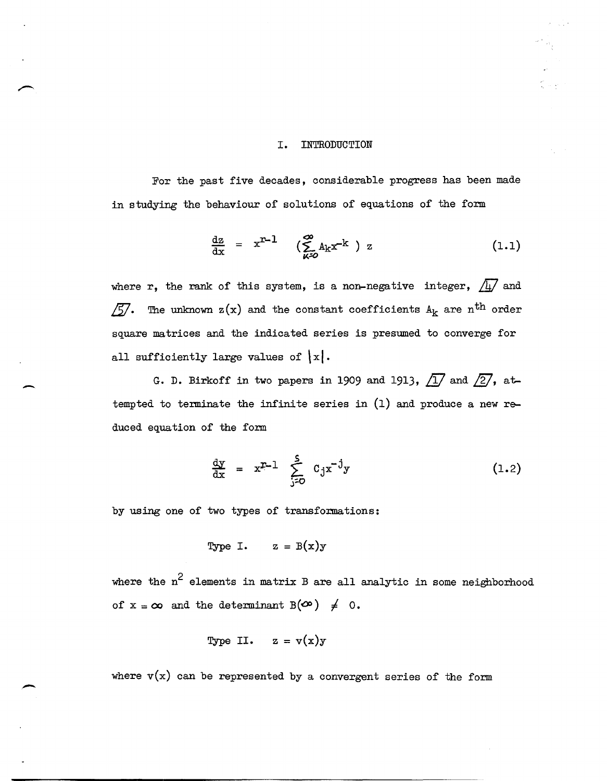## I. INTRODUCTION

For the past five decades, considerable progress has been made in studying the behaviour of solutions of equations of the form

$$
\frac{dz}{dx} = x^{x-1} \quad \left(\sum_{k=0}^{\infty} A_k x^{-k}\right) z \tag{1.1}
$$

where r, the rank of this system, is a non-negative integer,  $\sqrt{11}$  and  $\sqrt{5}$ . The unknown z(x) and the constant coefficients  $A_k$  are n<sup>th</sup> order square matrices and the indicated series is presumed to converge for all sufficiently large values of  $\vert x \vert$ .

G. D. Birkoff in two papers in 1909 and 1913,  $\sqrt{1}$  and  $\sqrt{2}$ , at tempted to terminate the infinite series in  $(1)$  and produce a new reduced equation of the form

$$
\frac{dy}{dx} = x^{x-1} \sum_{j=0}^{s} C_j x^{-j} y \qquad (1.2)
$$

by using one of two types of transformations:

-

-

Type I. 
$$
z = B(x)y
$$

where the  $n^2$  elements in matrix B are all analytic in some neighborhood of  $x = \infty$  and the determinant  $B(\infty) \neq 0$ .

Type II. 
$$
z = v(x)y
$$

where  $v(x)$  can be represented by a convergent series of the form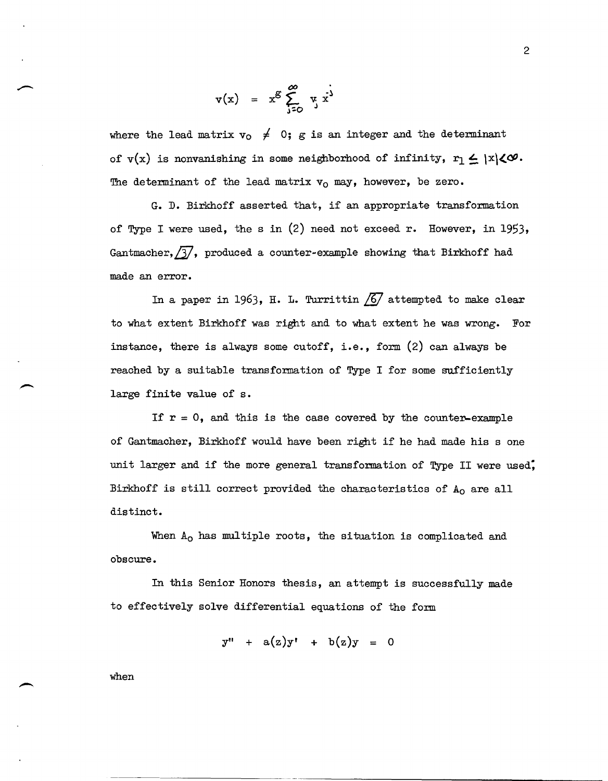$$
\mathbf{v}(\mathbf{x}) = \mathbf{x}^{\mathcal{B}} \sum_{j=0}^{\infty} \mathbf{v} \mathbf{x}^j
$$

where the lead matrix  $v_0 \neq 0$ ; g is an integer and the determinant of  $v(x)$  is nonvanishing in some neighborhood of infinity,  $r_1 \leq |x| \leq \infty$ . The determinant of the lead matrix  $v_0$  may, however, be zero.

G. D. Birkhoff asserted that, if an appropriate transformation of Type I were used, the s in  $(2)$  need not exceed r. However, in 1953, Gantmacher,  $\overline{37}$ , produced a counter-example showing that Birkhoff had made an error.

In a paper in 1963, H. L. Turrittin  $\sqrt{67}$  attempted to make clear to what extent Birkhoff was right and to what extent he was wrong. For instance, there is always some cutoff, *i.e.,* form (2) can always be reached by a suitable transformation of Type I for some sufficiently large finite value of s.

If  $r = 0$ , and this is the case covered by the counter-example of Gantmacher, Birkhoff would have been right if he had made his s one unit larger and if the more general transformation of Type II were used, Birkhoff is still correct provided the characteristics of Ao are all distinct.

When  $A_0$  has multiple roots, the situation is complicated and obscure.

In this Senior Honors thesis, an attempt is successfully made to effectively solve differential equations of the form

 $y'' + a(z)y' + b(z)y = 0$ 

when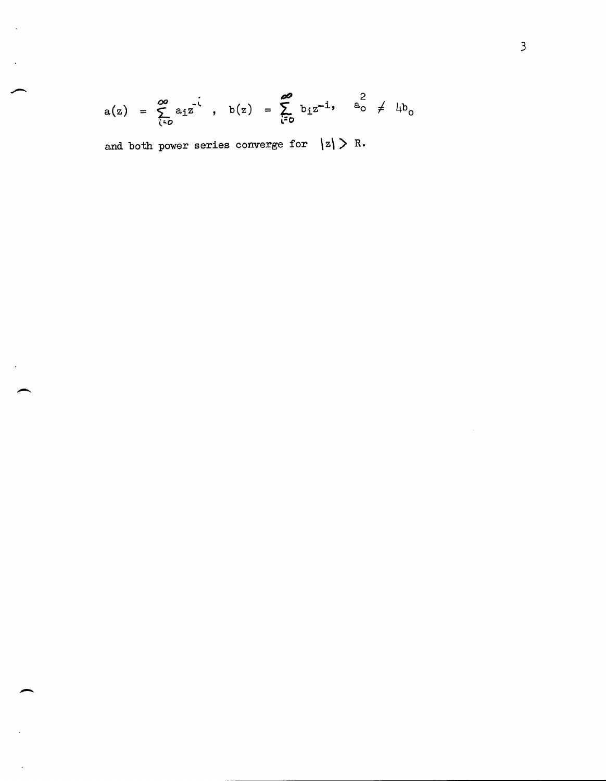$$
a(z) = \sum_{i=0}^{\infty} a_i z^{i}
$$
,  $b(z) = \sum_{i=0}^{\infty} b_i z^{-i}$ ,  $a_0^2 \neq \mu b_0$ 

and both power series converge for  $|z| > R$ .

 $\overline{\phantom{a}}$ 

 $\ddot{\phantom{a}}$ 

 $\ddot{\phantom{a}}$ 

 $\overline{\phantom{a}}$ 

 $\lambda$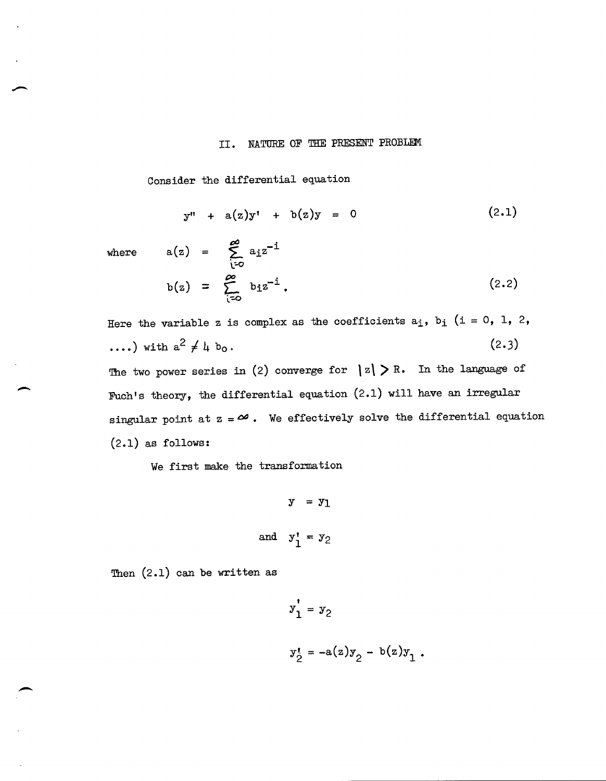## II. NATURE OF THE PRESENT PROBLEM

Consider the differential equation

$$
y'' + a(z)y' + b(z)y = 0 \qquad (2.1)
$$

where

 $\overline{\phantom{a}}$ 

$$
a(z) = \sum_{i=0}^{\infty} a_i z^{-i}
$$
  

$$
b(z) = \sum_{i=0}^{\infty} b_i z^{-i}.
$$
 (2.2)

Here the variable z is complex as the coefficients  $a_j$ ,  $b_j$  (i = 0, 1, 2,  $\dots$ ) with  $a^2 \neq l_1 b_0$ . (2.3)

The two power series in (2) converge for  $|z| > R$ . In the language of Fuch's theory, the differential equation (2.1) will have an irregular singular point at  $z = \infty$ . We effectively solve the differential equation (2.1) as follows:

We first make the transformation

$$
y = y_1
$$
  
and 
$$
y_1' = y_2
$$

Then (2.1) can be written as

$$
y'_1 = y_2
$$
  
 $y'_2 = -a(z)y_2 - b(z)y_1$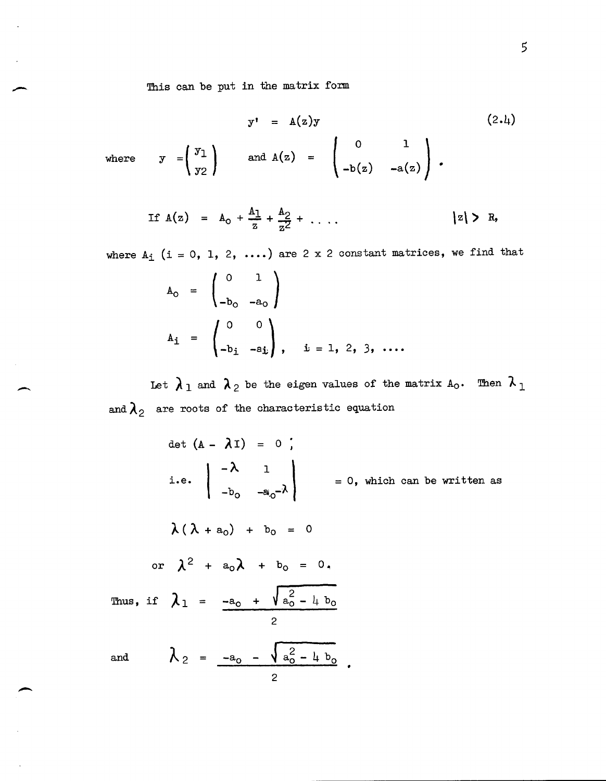This can be put in the matrix form

$$
y' = A(z)y
$$
  
\nwhere  $y = \begin{pmatrix} y_1 \\ y_2 \end{pmatrix}$  and  $A(z) = \begin{pmatrix} 0 & 1 \\ -b(z) & -a(z) \end{pmatrix}$ . (2.4)

---

If A(z) = A<sub>0</sub> + 
$$
\frac{A_1}{z}
$$
 +  $\frac{A_2}{z^2}$  + ... (z) > R,

where  $A_i$  (i = 0, 1, 2, ....) are 2 x 2 constant matrices, we find that

$$
A_{0} = \begin{pmatrix} 0 & 1 \\ -b_{0} & -a_{0} \end{pmatrix}
$$
  

$$
A_{i} = \begin{pmatrix} 0 & 0 \\ -b_{i} & -a_{i} \end{pmatrix}, \quad i = 1, 2, 3, \dots
$$

Let  $\lambda_1$  and  $\lambda_2$  be the eigen values of the matrix  $A_0$ . Then  $\lambda_1$ and  $\lambda_2$  are roots of the characteristic equation

$$
\det (A - \lambda I) = 0 ;
$$
\ni.e.  $\begin{vmatrix} -\lambda & 1 \\ -b_0 & -a_0 - \lambda \end{vmatrix} = 0$ , which can be written as  
\n
$$
\lambda (\lambda + a_0) + b_0 = 0
$$
\nor  $\lambda^2 + a_0 \lambda + b_0 = 0$ .  
\nThus, if  $\lambda_1 = \frac{-a_0 + \sqrt{a_0^2 - 4b_0}}{2}$   
\nand  $\lambda_2 = \frac{-a_0 - \sqrt{a_0^2 - 4b_0}}{2}$ .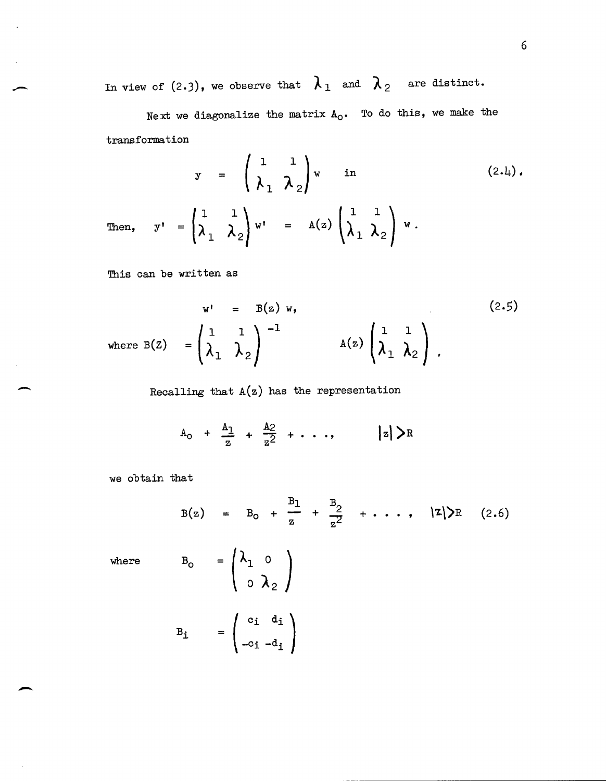In view of (2.3), we observe that  $\lambda_1$  and  $\lambda_2$  are distinct.

Next we diagonalize the matrix  $A_0$ . To do this, we make the transformation

$$
y = \begin{pmatrix} 1 & 1 \\ \lambda_1 & \lambda_2 \end{pmatrix} w \text{ in } (2.4).
$$

Then,  $y' = \begin{pmatrix} 1 & 1 \ 1 & 1 \end{pmatrix} w' = A(z) \begin{pmatrix} 1 & 1 \ 1 & 1 \end{pmatrix} w$ .

This can be written as

where B(z) = 
$$
\begin{pmatrix} x^1 \\ \lambda_1 \end{pmatrix} \begin{pmatrix} 1 \\ \lambda_2 \end{pmatrix}^{-1}
$$
  
\nA(z)  $\begin{pmatrix} 1 & 1 \\ \lambda_1 & \lambda_2 \end{pmatrix}$  (2.5)

Recalling that  $A(z)$  has the representation

$$
A_0 + \frac{A_1}{z} + \frac{A_2}{z^2} + \ldots, \qquad |z| > R
$$

we obtain that

$$
B(z) = B_0 + \frac{B_1}{z} + \frac{B_2}{z^2} + \cdots, \quad |z| > R \quad (2.6)
$$

where

 $\overline{\phantom{0}}$ 

$$
B_0 = \begin{pmatrix} \lambda_1 & 0 \\ 0 & \lambda_2 \end{pmatrix}
$$

$$
B_i = \begin{pmatrix} c_i & d_i \\ -c_i & -d_i \end{pmatrix}
$$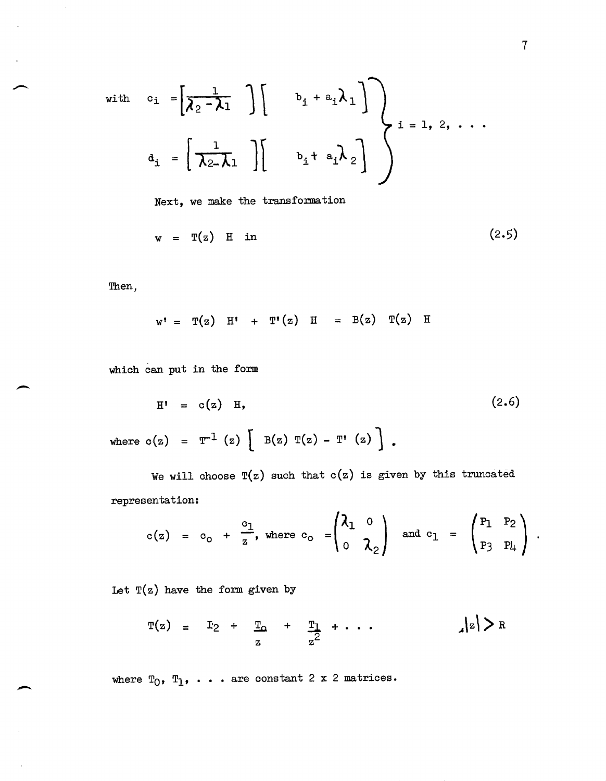with 
$$
c_i = \left[\frac{1}{\lambda_2 - \lambda_1}\right] \left[\begin{array}{c} b_i + a_i \lambda_1 \\ \vdots \\ b_i + a_i \lambda_2 \end{array}\right]
$$
  
 $d_i = \left[\frac{1}{\lambda_2 - \lambda_1}\right] \left[\begin{array}{c} b_i + a_i \lambda_2 \\ \vdots \\ b_i + a_i \lambda_2 \end{array}\right]$ 

Next, we make the transformation

$$
w = T(z) \quad H \quad in \tag{2.5}
$$

Then,

$$
w' = T(z) H' + T'(z) H = B(z) T(z) H
$$

which can put in the form

which can put in the form  
\n
$$
H' = c(z) H,
$$
\n(2.6)

where  $c(z) = T^{-1}(z) [\begin{array}{c} B(z) \ T(z) - T' (z) \end{array}]$ .

We will choose  $T(z)$  such that  $c(z)$  is given by this truncated representation:

$$
c(z) = c_0 + \frac{c_1}{z}, \text{ where } c_0 = \begin{pmatrix} \lambda_1 & 0 \\ 0 & \lambda_2 \end{pmatrix} \text{ and } c_1 = \begin{pmatrix} P_1 & P_2 \\ P_3 & P_4 \end{pmatrix}
$$

Let  $T(z)$  have the form given by

$$
\mathbb{T}(z) = \mathbb{I}_2 + \frac{\mathbb{T}_0}{z} + \frac{\mathbb{T}_1}{z^2} + \cdots
$$

where  $T_0$ ,  $T_1$ ,  $\ldots$  are constant 2 x 2 matrices.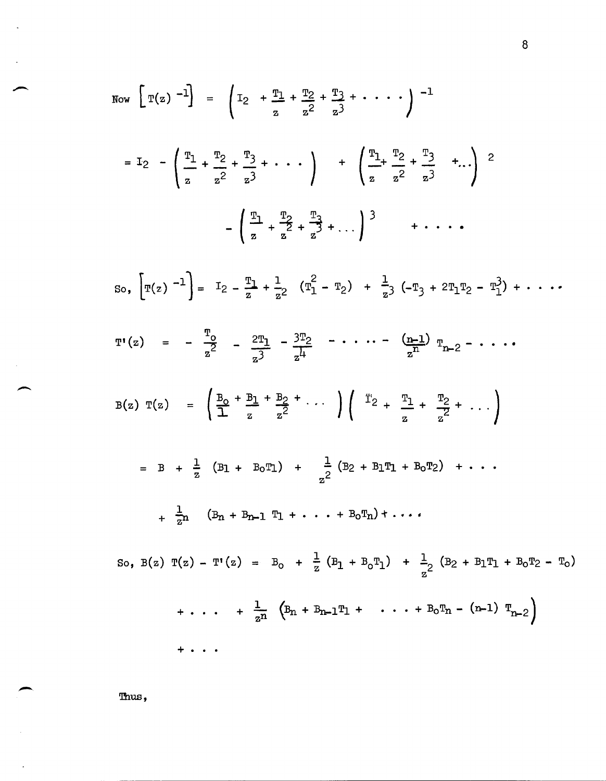Now 
$$
\left[\mathbb{T}(z) - 1\right] = \left(\mathbb{I}_2 + \frac{\mathbb{T}_1}{z} + \frac{\mathbb{T}_2}{z^2} + \frac{\mathbb{T}_3}{z^3} + \cdots\right)^{-1}
$$
  
\n $= \mathbb{I}_2 - \left(\frac{\mathbb{T}_1}{z} + \frac{\mathbb{T}_2}{z^2} + \frac{\mathbb{T}_3}{z^3} + \cdots\right) + \left(\frac{\mathbb{T}_1}{z} + \frac{\mathbb{T}_2}{z^2} + \frac{\mathbb{T}_3}{z^3} + \cdots\right)^2$   
\n $- \left(\frac{\mathbb{T}_1}{z} + \frac{\mathbb{T}_2}{z^2} + \frac{\mathbb{T}_3}{z^3} + \cdots\right)^3 + \cdots$   
\nSo,  $\left[\mathbb{T}(z) - 1\right] = \mathbb{I}_2 - \frac{\mathbb{T}_1}{z} + \frac{1}{z^2} \left(\mathbb{T}_1^2 - \mathbb{T}_2\right) + \frac{1}{z^3} \left(-\mathbb{T}_3 + 2\mathbb{T}_1\mathbb{T}_2 - \mathbb{T}_1^3\right) + \cdots$   
\n $\mathbb{T}^1(z) = - \frac{\mathbb{T}_0}{z^2} - \frac{2\mathbb{T}_1}{z^3} - \frac{3\mathbb{T}_2}{z^4} - \cdots - \frac{(\mathbb{L}_1)}{z^2} \mathbb{T}_{n-2} - \cdots$   
\n $\mathbb{E}(z) \mathbb{T}(z) = \left(\frac{\mathbb{B}_0}{\mathbb{L}} + \frac{\mathbb{B}_1}{z} + \frac{\mathbb{B}_2}{z^2} + \cdots\right) \left(\begin{array}{ccc}\mathbb{T}_2 + \frac{\mathbb{T}_1}{z} + \frac{\mathbb{T}_2}{z^2} + \cdots\right) \\ \vdots \\ \mathbb{T}_2 + \frac{\mathbb{T}_1}{z} + \frac{\mathbb{T}_2}{z^2} + \cdots\end{array}\right)$   
\n $= \mathbb{B} + \frac{1}{z} \left(\mathbb{B}_1 + \mathbb{B}_0 \mathbb{T}_1\right) + \frac{1}{z^2} \left(\mathbb{B}_2 + \mathbb{B}_1 \mathbb{T}_1 + \mathbb{B}_0 \mathbb{T}_2\right) + \cdots$   
\n $+ \frac{1}{$ 

Thus,

 $\overline{\phantom{a}}$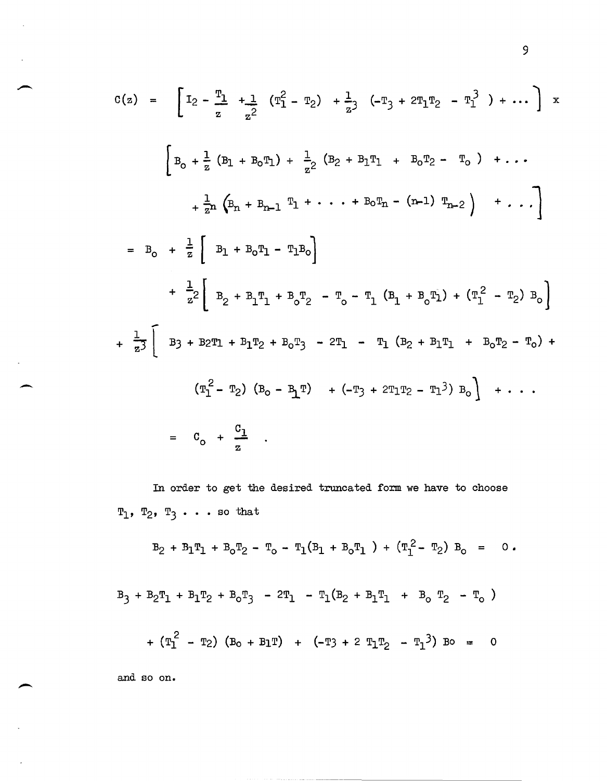$$
c(z) = \left[ I_2 - \frac{T_1}{z} + \frac{1}{z^2} (T_1^2 - T_2) + \frac{1}{z^3} (-T_3 + 2T_1T_2 - T_1^3) + \cdots \right] x
$$
  

$$
\left[ B_0 + \frac{1}{z} (B_1 + B_0T_1) + \frac{1}{z^2} (B_2 + B_1T_1 + B_0T_2 - T_0) + \cdots \right]
$$
  

$$
+ \frac{1}{z^n} (B_1 + B_{n-1} T_1 + \cdots + B_0T_n - (n-1) T_{n-2}) + \cdots \right]
$$
  

$$
= B_0 + \frac{1}{z} \left[ B_1 + B_0T_1 - T_1B_0 \right]
$$
  

$$
+ \frac{1}{z^2} \left[ B_2 + B_1T_1 + B_0T_2 - T_0 - T_1 (B_1 + B_0T_1) + (T_1^2 - T_2) B_0 \right]
$$
  

$$
+ \frac{1}{z^3} \left[ B_3 + B_2T_1 + B_1T_2 + B_0T_3 - 2T_1 - T_1 (B_2 + B_1T_1 + B_0T_2 - T_0) + (T_1^2 - T_2) (B_0 - B_1T) + (-T_3 + 2T_1T_2 - T_1^3) B_0 \right] + \cdots
$$
  

$$
= C_0 + \frac{C_1}{z}.
$$

In order to get the desired trunoated form we have to ohoose  $T_1$ ,  $T_2$ ,  $T_3$ ... so that

$$
B_2 + B_1 T_1 + B_0 T_2 - T_0 - T_1 (B_1 + B_0 T_1) + (T_1^2 - T_2) B_0 = 0.
$$
  

$$
B_3 + B_2 T_1 + B_1 T_2 + B_0 T_3 - 2T_1 - T_1 (B_2 + B_1 T_1 + B_0 T_2 - T_0)
$$
  

$$
+ (T_1^2 - T_2) (B_0 + B_1 T) + (-T_3 + 2 T_1 T_2 - T_1^3) B_0 = 0
$$

and so on.

 $\overline{\phantom{0}}$ 

9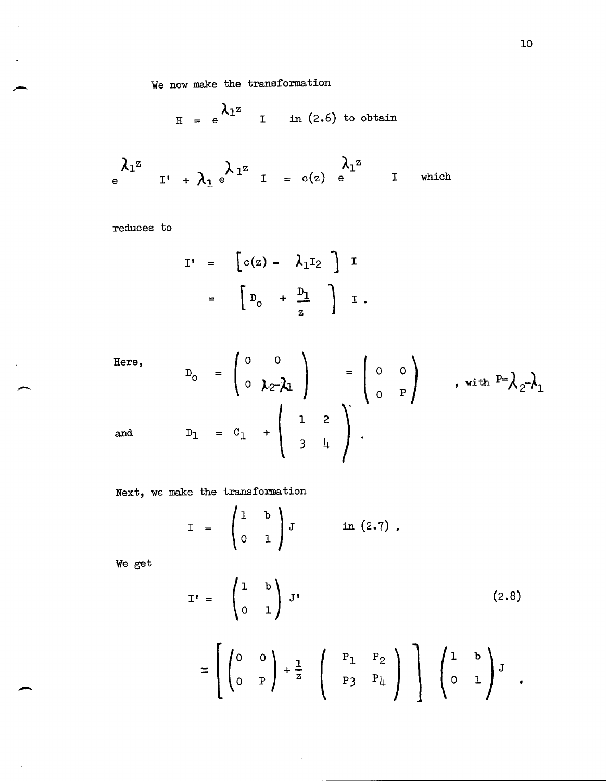We now make the transformation

$$
H = e^{\lambda_1 z}
$$
 1 in (2.6) to obtain

$$
\lambda_1^z \qquad \qquad \mathbf{I'} + \lambda_1 e^{\lambda_1^z} \qquad \mathbf{I} = c(z) e^{\lambda_1^z} \qquad \qquad \mathbf{I} \qquad \text{which}
$$

reduces to

$$
I' = \left[ c(z) - \lambda_1 I_2 \right] I
$$

$$
= \left[ D_0 + \frac{D_1}{z} \right] I.
$$

Here,

and

-

-

l,

$$
D_0 = \begin{pmatrix} 0 & 0 \\ 0 & \lambda_2 \lambda_1 \end{pmatrix} = \begin{pmatrix} 0 & 0 \\ 0 & P \end{pmatrix} \text{ with } P = \lambda_2 \lambda_1
$$
  

$$
D_1 = C_1 + \begin{pmatrix} 1 & 2 \\ 3 & \lambda_1 \end{pmatrix}.
$$

Next, we make the transformation

$$
I = \begin{pmatrix} 1 & b \\ 0 & 1 \end{pmatrix} J \qquad in (2.7).
$$

 $\ddot{\phantom{0}}$ 

We get

$$
\mathbf{I'} = \begin{pmatrix} 1 & b \\ 0 & 1 \end{pmatrix} \mathbf{J'}
$$
\n(2.8)

$$
= \left[ \begin{pmatrix} 0 & 0 \\ 0 & P \end{pmatrix} + \frac{1}{z} \begin{pmatrix} P_1 & P_2 \\ P_3 & P_4 \end{pmatrix} \right] \begin{pmatrix} 1 & b \\ 0 & 1 \end{pmatrix} J.
$$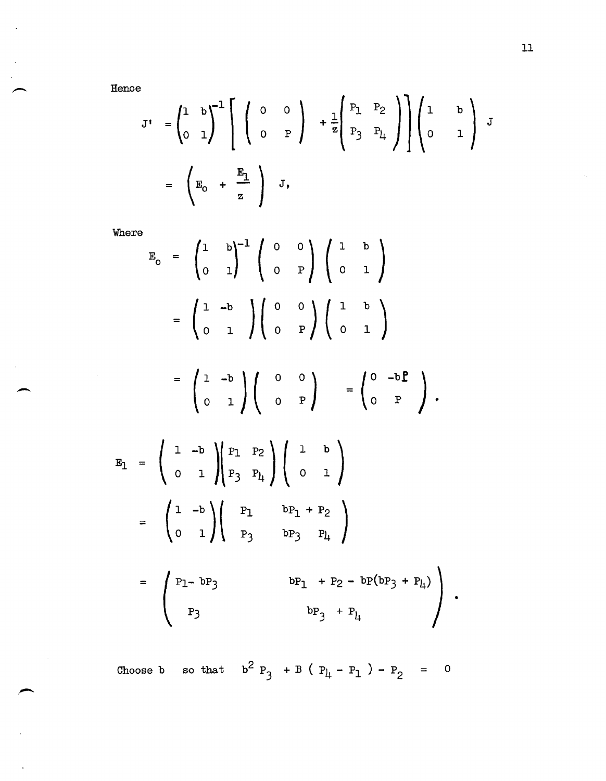Hence

$$
J' = \begin{pmatrix} 1 & b \\ 0 & 1 \end{pmatrix}^{-1} \begin{bmatrix} 0 & 0 \\ 0 & P \end{bmatrix} + \frac{1}{z} \begin{bmatrix} P_1 & P_2 \\ P_3 & P_4 \end{bmatrix} \begin{bmatrix} 1 & b \\ 0 & 1 \end{bmatrix} J
$$

$$
= \begin{pmatrix} E_0 + \frac{E_1}{z} \end{pmatrix} J,
$$

 $W<sub>h</sub>$ 

 $\sim$ 

where  
\n
$$
E_0 = \begin{pmatrix} 1 & b \\ 0 & 1 \end{pmatrix}^{-1} \begin{pmatrix} 0 & 0 \\ 0 & p \end{pmatrix} \begin{pmatrix} 1 & b \\ 0 & 1 \end{pmatrix}
$$
\n
$$
= \begin{pmatrix} 1 & -b \\ 0 & 1 \end{pmatrix} \begin{pmatrix} 0 & 0 \\ 0 & p \end{pmatrix} \begin{pmatrix} 1 & b \\ 0 & 1 \end{pmatrix}
$$
\n
$$
= \begin{pmatrix} 1 & -b \\ 0 & 1 \end{pmatrix} \begin{pmatrix} 0 & 0 \\ 0 & p \end{pmatrix} = \begin{pmatrix} 0 & -b \begin{pmatrix} 0 \\ 0 \end{pmatrix}.
$$
\n
$$
E_1 = \begin{pmatrix} 1 & -b \\ 0 & 1 \end{pmatrix} \begin{pmatrix} P_1 & P_2 \\ P_3 & P_1 \end{pmatrix} \begin{pmatrix} 1 & b \\ 0 & 1 \end{pmatrix}
$$
\n
$$
= \begin{pmatrix} 1 & -b \\ 0 & 1 \end{pmatrix} \begin{pmatrix} P_1 & bp_1 + P_2 \\ P_3 & bp_3 & P_1 \end{pmatrix}
$$
\n
$$
= \begin{pmatrix} P_1 - bP_3 & bp_1 + P_2 - bP(bP_3 + P_1) \\ P_3 & bp_3 + P_1 \end{pmatrix}
$$

Choose b so that  $b^2 P_3 + B (P_4 - P_1) - P_2 = 0$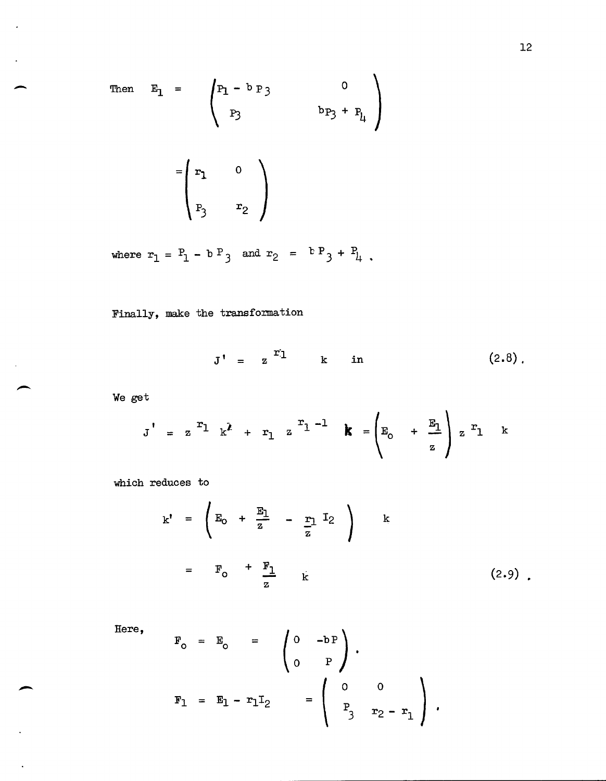Then 
$$
E_1 = \begin{pmatrix} P_1 - b P_3 & 0 \\ P_3 & p_3 + P_4 \end{pmatrix}
$$
  

$$
= \begin{pmatrix} r_1 & 0 \\ P_3 & r_2 \end{pmatrix}
$$

where  $r_1 = P_1 - b P_3$  and  $r_2 = b P_3 + P_4$ .

Finally, make the transformation

$$
J' = zT1 k in (2.8).
$$

We get

-

.-..

 $\ddot{\phantom{a}}$ 

$$
J' = z^{r_1} k^{r_1} + r_1 z^{r_1 - 1} k = \begin{pmatrix} E_0 + \frac{E_1}{z} \end{pmatrix} z^{r_1} k
$$

which reduces to

$$
k' = \left( E_0 + \frac{E_1}{z} - \frac{r_1}{z} I_2 \right) k
$$
  
=  $F_0 + \frac{F_1}{z} k$  (2.9).

Here,

$$
F_0 = E_0 = \begin{pmatrix} 0 & -bP \\ 0 & P \end{pmatrix}.
$$
  

$$
F_1 = E_1 - r_1 I_2 = \begin{pmatrix} 0 & 0 \\ P_3 & r_2 - r_1 \end{pmatrix}.
$$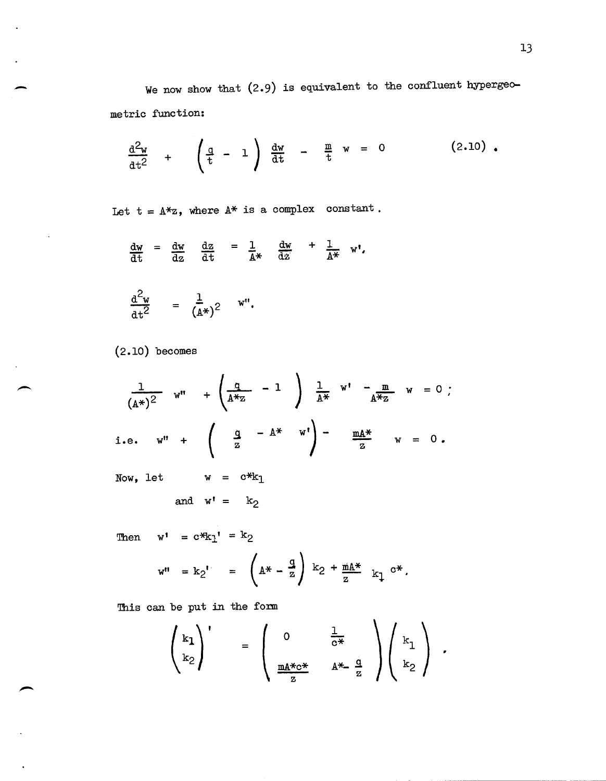We now show that (2.9) is equivalent to the confluent hypergeometric function:

$$
\frac{d^2w}{dt^2} + \left(\frac{q}{t} - 1\right) \frac{dw}{dt} - \frac{m}{t} w = 0 \qquad (2.10).
$$

Let  $t = A * z$ , where  $A *$  is a complex constant.

 $dw = dw dz$  $\frac{d\mathbf{u}}{dt}$   $\frac{d\mathbf{u}}{dz}$   $\frac{d\mathbf{u}}{dt}$  $= 1$  dw  $\overline{A*}$  dz

$$
\frac{\mathrm{d}^2 \mathrm{w}}{\mathrm{d} \mathrm{t}^2} = \frac{1}{(\mathrm{A}^*)^2} \mathrm{w}^{\mathrm{u}}.
$$

(2.10) becomes

 $\overline{\phantom{a}}$ 

 $\ddot{\phantom{1}}$ 

$$
\frac{1}{(A*)^2} w'' + \left(\frac{q}{A*z} - 1\right) \frac{1}{A*} w' - \frac{m}{A*z} w = 0 ;
$$
  
i.e.  $w'' + \left(\frac{q}{z} - A* w'\right) - \frac{mA*}{z} w = 0.$ 

Now, let  $w = c * k_1$ 

and 
$$
w' = k_2
$$

Then  $w^{\dagger} = c \ast k_1^{\dagger} = k_2$ 

$$
w'' = k_2' = \left(A^* - \frac{q}{z}\right) k_2 + \frac{mA^*}{z} k_1 e^*.
$$

This can be put in the form

$$
\begin{pmatrix} k_1 \\ k_2 \end{pmatrix}^{\prime} = \begin{pmatrix} 0 & \frac{1}{c^*} \\ \frac{mA^*c^*}{z} & A^* - \frac{a}{z} \end{pmatrix} \begin{pmatrix} k_1 \\ k_2 \end{pmatrix}.
$$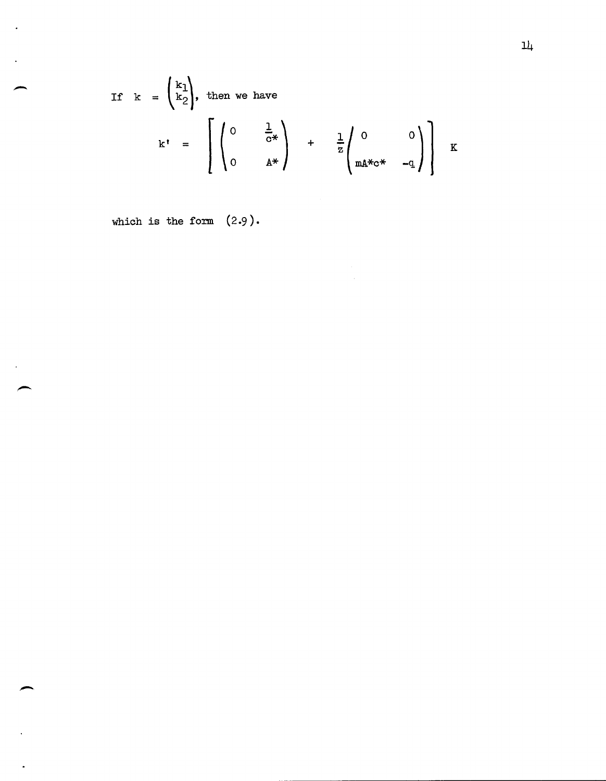If 
$$
k = \begin{pmatrix} k_1 \\ k_2 \end{pmatrix}
$$
, then we have  

$$
k' = \begin{bmatrix} 0 & \frac{1}{c*} \\ 0 & k* \end{bmatrix} + \frac{1}{z} \begin{bmatrix} 0 & 0 \\ mA*c* & -q \end{bmatrix} k
$$

which is the form  $(2.9)$ .

 $\ddot{\phantom{0}}$ 

 $\ddot{\phantom{1}}$